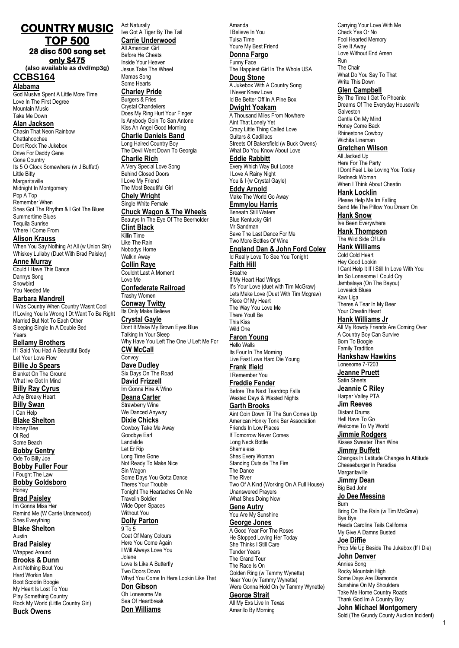# **COUNTRY MUSIC TOP 500 28 disc 500 song set only \$475**

**(also available as dvd/mp3g) CCBS164**

# **Alabama**

God Mustve Spent A Little More Time Love In The First Degree Mountain Music Take Me Down

### **Alan Jackson**

Chasin That Neon Rainbow Chattahoochee Dont Rock The Jukebox Drive For Daddy Gene Gone Country Its 5 O Clock Somewhere (w J Buffett) Little Bitty **Margaritaville** Midnight In Montgomery Pop A Top Remember When Shes Got The Rhythm & I Got The Blues Summertime Blues Tequila Sunrise Where I Come From

### **Alison Krauss**

When You Say Nothing At All (w Union Stn) Whiskey Lullaby (Duet With Brad Paisley)

**Anne Murray**

Could I Have This Dance Dannys Song Snowbird You Needed Me

### **Barbara Mandrell**

I Was Country When Country Wasnt Cool If Loving You Is Wrong I Dt Want To Be Right Married But Not To Each Other Sleeping Single In A Double Bed Years

#### **Bellamy Brothers**

If I Said You Had A Beautiful Body Let Your Love Flow **Billie Jo Spears** Blanket On The Ground

What Ive Got In Mind

#### **Billy Ray Cyrus** Achy Breaky Heart

**Billy Swan** I Can Help **Blake Shelton** Honey Bee Ol Red

Some Beach **Bobby Gentry** Ode To Billy Joe

**Bobby Fuller Four** I Fought The Law

**Bobby Goldsboro** Honey

# **Brad Paisley**

Im Gonna Miss Her Remind Me (W Carrie Underwood) Shes Everything **Blake Shelton Austin** 

### **Brad Paisley** Wrapped Around

**Brooks & Dunn**

Aint Nothing Bout You Hard Workin Man Boot Scootin Boogie My Heart Is Lost To You Play Something Country Rock My World (Little Country Girl) **Buck Owens**

Act Naturally Ive Got A Tiger By The Tail **Carrie Underwood** All American Girl Before He Cheats Inside Your Heaven Jesus Take The Wheel Mamas Song Some Hearts **Charley Pride** Burgers & Fries Crystal Chandeliers Does My Ring Hurt Your Finger Is Anybody Goin To San Antone Kiss An Angel Good Morning **Charlie Daniels Band** Long Haired Country Boy The Devil Went Down To Georgia **Charlie Rich** A Very Special Love Song Behind Closed Doors I Love My Friend The Most Beautiful Girl **Chely Wright** Single White Female **Chuck Wagon & The Wheels** Beautys In The Eye Of The Beerholder **Clint Black** Killin Time Like The Rain Nobodys Home Walkin Away **Collin Raye** Couldnt Last A Moment Love Me **Confederate Railroad** Trashy Women **Conway Twitty** Its Only Make Believe **Crystal Gayle** Dont It Make My Brown Eyes Blue Talking In Your Sleep Why Have You Left The One U Left Me For **CW McCall Convoy Dave Dudley** Six Days On The Road **David Frizzell** Im Gonna Hire A Wino **Deana Carter** Strawberry Wine We Danced Anyway **Dixie Chicks** Cowboy Take Me Away Goodbye Earl Landslide Let Er Rip Long Time Gone Not Ready To Make Nice Sin Wagon Some Days You Gotta Dance Theres Your Trouble Tonight The Heartaches On Me Travelin Soldier Wide Open Spaces Without You **Dolly Parton**

9 To 5 Coat Of Many Colours Here You Come Again I Will Always Love You Jolene Love Is Like A Butterfly Two Doors Down Whyd You Come In Here Lookin Like That

# **Don Gibson**

Oh Lonesome Me Sea Of Heartbreak

**Don Williams**

Amanda I Believe In You Tulsa Time Youre My Best Friend **Donna Fargo** Funny Face The Happiest Girl In The Whole USA **Doug Stone** A Jukebox With A Country Song I Never Knew Love Id Be Better Off In A Pine Box **Dwight Yoakam** A Thousand Miles From Nowhere Aint That Lonely Yet Crazy Little Thing Called Love Guitars & Cadillacs Streets Of Bakersfield (w Buck Owens) What Do You Know About Love **Eddie Rabbitt** Every Which Way But Loose I Love A Rainy Night You & I (w Crystal Gayle) **Eddy Arnold** Make The World Go Away **Emmylou Harris** Beneath Still Waters Blue Kentucky Girl Mr Sandman<sup>1</sup> Save The Last Dance For Me Two More Bottles Of Wine **England Dan & John Ford Coley** Id Really Love To See You Tonight **Faith Hill Breathe** If My Heart Had Wings It's Your Love (duet with Tim McGraw) Lets Make Love (Duet With Tim Mcgraw) Piece Of My Heart The Way You Love Me There Youll Be This Kiss Wild One **Faron Young** Hello Walls Its Four In The Morning Live Fast Love Hard Die Young **Frank Ifield** I Remember You **Freddie Fender** Before The Next Teardrop Falls Wasted Days & Wasted Nights **Garth Brooks** Aint Goin Down Til The Sun Comes Up American Honky Tonk Bar Association Friends In Low Places If Tomorrow Never Comes

Long Neck Bottle Shameless Shes Every Woman Standing Outside The Fire The Dance The River Two Of A Kind (Working On A Full House) Unanswered Prayers What Shes Doing Now

## **Gene Autry**

You Are My Sunshine **George Jones** A Good Year For The Roses He Stopped Loving Her Today She Thinks I Still Care Tender Years The Grand Tour The Race Is On Golden Ring (w Tammy Wynette) Near You (w Tammy Wynette) Were Gonna Hold On (w Tammy Wynette) **George Strait** All My Exs Live In Texas Amarillo By Morning

Check Yes Or No Fool Hearted Memory Give It Away Love Without End Amen Run The Chair What Do You Say To That Write This Down **Glen Campbell** By The Time I Get To Phoenix Dreams Of The Everyday Housewife **Galveston** Gentle On My Mind Honey Come Back Rhinestone Cowboy Wichita Lineman **Gretchen Wilson** All Jacked Up Here For The Party I Dont Feel Like Loving You Today

Carrying Your Love With Me

Redneck Woman When I Think About Cheatin

# **Hank Locklin**

Please Help Me Im Falling Send Me The Pillow You Dream On **Hank Snow**

Ive Been Everywhere **Hank Thompson**

The Wild Side Of Life **Hank Williams**

# Cold Cold Heart

Hey Good Lookin I Cant Help It If I Still In Love With You Im So Lonesome I Could Cry Jambalaya (On The Bayou) Lovesick Blues Kaw Liga Theres A Tear In My Beer Your Cheatin Heart

**Hank Williams Jr**

All My Rowdy Friends Are Coming Over A Country Boy Can Survive Born To Boogie Family Tradition

#### **Hankshaw Hawkins** Lonesome 7-7203

**Jeanne Pruett** Satin Sheets **Jeannie C Riley**

Harper Valley PTA

**Jim Reeves** Distant Drums Hell Have To Go Welcome To My World

**Jimmie Rodgers** Kisses Sweeter Than Wine

**Jimmy Buffett** Changes In Latitude Changes In Attitude Cheeseburger In Paradise **Margaritaville** 

**Jimmy Dean** Big Bad John

**Jo Dee Messina** Burn

Bring On The Rain (w Tim McGraw) Bye Bye Heads Carolina Tails California My Give A Damns Busted **Joe Diffie**

Prop Me Up Beside The Jukebox (If I Die) **John Denver** Annies Song Rocky Mountain High Some Days Are Diamonds Sunshine On My Shoulders Take Me Home Country Roads Thank God Im A Country Boy **John Michael Montgomery**

Sold (The Grundy County Auction Incident)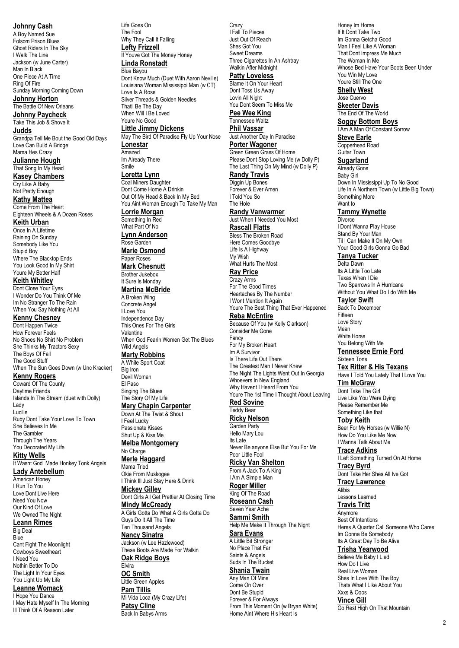**Johnny Cash**

A Boy Named Sue Folsom Prison Blues Ghost Riders In The Sky I Walk The Line Jackson (w June Carter) Man In Black One Piece At A Time Ring Of Fire Sunday Morning Coming Down **Johnny Horton**

The Battle Of New Orleans

**Johnny Paycheck** Take This Job & Shove It **Judds**

Grandpa Tell Me Bout the Good Old Days Love Can Build A Bridge Mama Hes Crazy

**Julianne Hough** That Song In My Head **Kasey Chambers**

Cry Like A Baby Not Pretty Enough **Kathy Mattea**

Come From The Heart Eighteen Wheels & A Dozen Roses

**Keith Urban** Once In A Lifetime Raining On Sunday Somebody Like You Stupid Boy

Where The Blacktop Ends You Look Good In My Shirt Youre My Better Half **Keith Whitley**

Dont Close Your Eyes I Wonder Do You Think Of Me Im No Stranger To The Rain When You Say Nothing At All

### **Kenny Chesney**

Dont Happen Twice How Forever Feels No Shoes No Shirt No Problem She Thinks My Tractors Sexy The Boys Of Fall The Good Stuff When The Sun Goes Down (w Unc Kracker)

**Kenny Rogers**

Coward Of The County Daytime Friends Islands In The Stream (duet with Dolly) Lady

Lucille Ruby Dont Take Your Love To Town She Believes In Me The Gambler Through The Years You Decorated My Life

**Kitty Wells**

It Wasnt God Made Honkey Tonk Angels **Lady Antebellum**

American Honey I Run To You Love Dont Live Here Need You Now Our Kind Of Love We Owned The Night

#### **Leann Rimes**

Big Deal **Blue** Cant Fight The Moonlight Cowboys Sweetheart I Need You Nothin Better To Do The Light In Your Eyes You Light Up My Life

# **Leanne Womack**

I Hope You Dance I May Hate Myself In The Morning III Think Of A Reason Later

Life Goes On The Fool Why They Call It Falling **Lefty Frizzell** If Youve Got The Money Honey **Linda Ronstadt** Blue Bayou Dont Know Much (Duet With Aaron Neville) Louisiana Woman Mississippi Man (w CT) Love Is A Rose Silver Threads & Golden Needles Thatll Be The Day When Will I Be Loved Youre No Good

**Little Jimmy Dickens**

May The Bird Of Paradise Fly Up Your Nose **Lonestar** Amazed Im Already There

Smile

#### **Loretta Lynn** Coal Miners Daughter

Dont Come Home A Drinkin Out Of My Head & Back In My Bed You Aint Woman Enough To Take My Man **Lorrie Morgan**

Something In Red What Part Of No

**Lynn Anderson** Rose Garden

**Marie Osmond** Paper Roses

**Mark Chesnutt** Brother Jukebox

It Sure Is Monday **Martina McBride**

A Broken Wing Concrete Angel I Love You Independence Day This Ones For The Girls Valentine When God Fearin Women Get The Blues

Wild Angels

# **Marty Robbins**

A White Sport Coat Big Iron Devil Woman El Paso Singing The Blues The Story Of My Life **Mary Chapin Carpenter**

Down At The Twist & Shout I Feel Lucky Passionate Kisses

Shut Up & Kiss Me **Melba Montgomery**

No Charge **Merle Haggard**

Mama Tried Okie From Muskogee

I Think Ill Just Stay Here & Drink **Mickey Gilley** Dont Girls All Get Prettier At Closing Time

**Mindy McCready** A Girls Gotta Do What A Girls Gotta Do Guys Do It All The Time

Ten Thousand Angels **Nancy Sinatra** Jackson (w Lee Hazlewood) These Boots Are Made For Walkin

**Oak Ridge Boys** Elvira

**OC Smith** Little Green Apples **Pam Tillis** Mi Vida Loca (My Crazy Life) **Patsy Cline** Back In Babys Arms

Crazy I Fall To Pieces Just Out Of Reach Shes Got You Sweet Dreams Three Cigarettes In An Ashtray Walkin After Midnight

**Patty Loveless**

Blame It On Your Heart Dont Toss Us Away Lovin All Night You Dont Seem To Miss Me **Pee Wee King**

Tennessee Waltz **Phil Vassar**

Just Another Day In Paradise **Porter Wagoner** Green Green Grass Of Home

Please Dont Stop Loving Me (w Dolly P) The Last Thing On My Mind (w Dolly P) **Randy Travis**

Diggin Up Bones Forever & Ever Amen I Told You So

The Hole **Randy Vanwarmer** Just When I Needed You Most

**Rascall Flatts** Bless The Broken Road Here Comes Goodbye

Life Is A Highway My Wish What Hurts The Most **Ray Price**

Crazy Arms For The Good Times Heartaches By The Number I Wont Mention It Again

Youre The Best Thing That Ever Happened **Reba McEntire**

Because Of You (w Kelly Clarkson) Consider Me Gone Fancy For My Broken Heart Im A Survivor Is There Life Out There The Greatest Man I Never Knew The Night The Lights Went Out In Georgia Whoevers In New England Why Havent I Heard From You Youre The 1st Time I Thought About Leaving **Red Sovine**

# Teddy Bear

**Ricky Nelson** Garden Party Hello Mary Lou Its Late Never Be anyone Else But You For Me Poor Little Fool

**Ricky Van Shelton** From A Jack To A King I Am A Simple Man

**Roger Miller** King Of The Road

**Roseann Cash** Seven Year Ache

**Sammi Smith** Help Me Make It Through The Night

**Sara Evans** A Little Bit Stronger No Place That Far Saints & Angels Suds In The Bucket

**Shania Twain**

Any Man Of Mine Come On Over Dont Be Stupid Forever & For Always From This Moment On (w Bryan White) Home Aint Where His Heart Is

Honey Im Home If It Dont Take Two Im Gonna Getcha Good Man I Feel Like A Woman That Dont Impress Me Much The Woman In Me Whose Bed Have Your Boots Been Under You Win My Love Youre Still The One **Shelly West**

Jose Cuervo **Skeeter Davis**

The End Of The World **Soggy Bottom Boys**

I Am A Man Of Constant Sorrow **Steve Earle**

Copperhead Road Guitar Town

**Sugarland**

Already Gone Baby Girl Down In Mississippi Up To No Good Life In A Northern Town (w Little Big Town) Something More Want to **Tammy Wynette Divorce** 

I Dont Wanna Play House Stand By Your Man Til I Can Make It On My Own Your Good Girls Gonna Go Bad

**Tanya Tucker** Delta Dawn Its A Little Too Late Texas When I Die Two Sparrows In A Hurricane Without You What Do I do With Me

**Taylor Swift**

Back To December Fifteen Love Story Mean White Horse You Belong With Me **Tennessee Ernie Ford**

Sixteen Tons **Tex Ritter & His Texans**

Have I Told You Lately That I Love You

**Tim McGraw** Dont Take The Girl

Live Like You Were Dying Please Remember Me Something Like that

**Toby Keith** Beer For My Horses (w Willie N) How Do You Like Me Now I Wanna Talk About Me

**Trace Adkins** I Left Something Turned On At Home **Tracy Byrd** Dont Take Her Shes All Ive Got

**Tracy Lawrence** Alibis

Lessons Learned **Travis Tritt**

Anymore Best Of Intentions Heres A Quarter Call Someone Who Cares Im Gonna Be Somebody Its A Great Day To Be Alive

### **Trisha Yearwood**

Believe Me Baby I Lied How Do I Live Real Live Woman Shes In Love With The Boy Thats What I Like About You Xxxs & Ooos **Vince Gill**

Go Rest High On That Mountain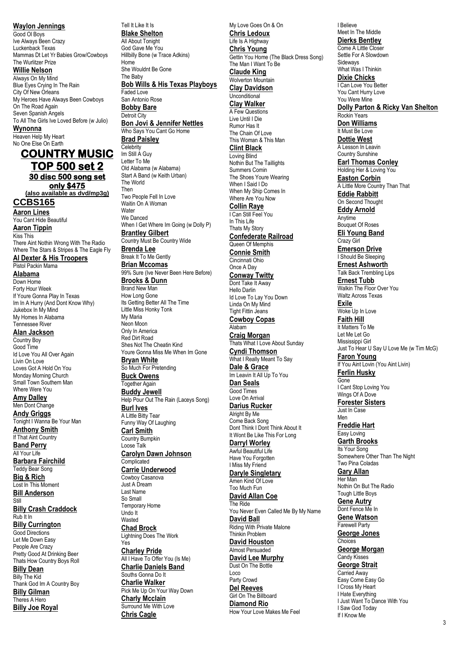**Waylon Jennings** Good Ol Boys Ive Always Been Crazy Luckenback Texas Mammas Dt Let Yr Babies Grow/Cowboys The Wurlitzer Prize **Willie Nelson** Always On My Mind Blue Eyes Crying In The Rain City Of New Orleans My Heroes Have Always Been Cowboys On The Road Again Seven Spanish Angels To All The Girls Ive Loved Before (w Julio) **Wynonna** Heaven Help My Heart No One Else On Earth **COUNTRY MUSIC TOP 500 set 2 30 disc 500 song set only \$475 (also available as dvd/mp3g) CCBS165 Aaron Lines** You Cant Hide Beautiful **Aaron Tippin** Kiss This There Aint Nothin Wrong With The Radio Where The Stars & Stripes & The Eagle Fly **Al Dexter & His Troopers** Pistol Packin Mama **Alabama**

Down Home Forty Hour Week If Youre Gonna Play In Texas Im In A Hurry (And Dont Know Why) Jukebox In My Mind My Homes In Alabama Tennessee River

**Alan Jackson** Country Boy Good Time Id Love You All Over Again Livin On Love Loves Got A Hold On You Monday Morning Church Small Town Southern Man Where Were You

**Amy Dalley** Men Dont Change **Andy Griggs** Tonight I Wanna Be Your Man **Anthony Smith** If That Aint Country **Band Perry** All Your Life **Barbara Fairchild** Teddy Bear Song **Big & Rich** Lost In This Moment **Bill Anderson** Still **Billy Crash Craddock** Rub It In **Billy Currington** Good Directions Let Me Down Easy People Are Crazy Pretty Good At Drinking Beer Thats How Country Boys Roll **Billy Dean** Billy The Kid Thank God Im A Country Boy

**Billy Gilman** Theres A Hero **Billy Joe Royal** Tell It Like It Is **Blake Shelton** All About Tonight God Gave Me You Hillbilly Bone (w Trace Adkins) Home She Wouldnt Be Gone The Baby **Bob Wills & His Texas Playboys** Faded Love

San Antonio Rose **Bobby Bare** Detroit City **Bon Jovi & Jennifer Nettles**

Who Says You Cant Go Home **Brad Paisley Celebrity** 

Im Still A Guy Letter To Me Old Alabama (w Alabama) Start A Band (w Keith Urban) The World Then Two People Fell In Love Waitin On A Woman **Water** We Danced When I Get Where Im Going (w Dolly P) **Brantley Gilbert** Country Must Be Country Wide **Brenda Lee**

Break It To Me Gently **Brian Mccomas** 99% Sure (Ive Never Been Here Before) **Brooks & Dunn** Brand New Man How Long Gone Its Getting Better All The Time Little Miss Honky Tonk My Maria Neon Moon Only In America Red Dirt Road Shes Not The Cheatin Kind Youre Gonna Miss Me When Im Gone **Bryan White**

So Much For Pretending **Buck Owens** Together Again **Buddy Jewell** Help Pour Out The Rain (Laceys Song) **Burl Ives** A Little Bitty Tear Funny Way Of Laughing

**Carl Smith** Country Bumpkin Loose Talk **Carolyn Dawn Johnson**

**Complicated Carrie Underwood** Cowboy Casanova

Just A Dream Last Name So Small Temporary Home Undo It

**Wasted Chad Brock** Lightning Does The Work

Yes **Charley Pride** All I Have To Offer You (Is Me) **Charlie Daniels Band** Souths Gonna Do It **Charlie Walker** Pick Me Up On Your Way Down **Charly Mcclain** Surround Me With Love **Chris Cagle**

My Love Goes On & On **Chris Ledoux** Life Is A Highway **Chris Young** Gettin You Home (The Black Dress Song) The Man I Want To Be **Claude King** Wolverton Mountain **Clay Davidson** Unconditional **Clay Walker** A Few Questions Live Until I Die Rumor Has It The Chain Of Love This Woman & This Man **Clint Black** Loving Blind Nothin But The Taillights Summers Comin The Shoes Youre Wearing When I Said I Do When My Ship Comes In Where Are You Now **Collin Raye** I Can Still Feel You In This Life Thats My Story **Confederate Railroad** Queen Of Memphis **Connie Smith** Cincinnati Ohio Once A Day **Conway Twitty** Dont Take It Away Hello Darlin Id Love To Lay You Down Linda On My Mind Tight Fittin Jeans **Cowboy Copas** Alabam **Craig Morgan** Thats What I Love About Sunday **Cyndi Thomson** What I Really Meant To Say **Dale & Grace** Im Leavin It All Up To You **Dan Seals** Good Times Love On Arrival **Darius Rucker** Alright By Me Come Back Song Dont Think I Dont Think About It It Wont Be Like This For Long **Darryl Worley** Awful Beautiful Life Have You Forgotten I Miss My Friend **Daryle Singletary** Amen Kind Of Love Too Much Fun **David Allan Coe** The Ride You Never Even Called Me By My Name **David Ball** Riding With Private Malone Thinkin Problem **David Houston** Almost Persuaded **David Lee Murphy** Dust On The Bottle Loco Party Crowd **Del Reeves** Girl On The Billboard **Diamond Rio** How Your Love Makes Me Feel

I Believe Meet In The Middle **Dierks Bentley** Come A Little Closer Settle For A Slowdown **Sideways** What Was I Thinkin **Dixie Chicks** I Can Love You Better You Cant Hurry Love You Were Mine **Dolly Parton & Ricky Van Shelton** Rockin Years **Don Williams** It Must Be Love **Dottie West** A Lesson In Leavin Country Sunshine **Earl Thomas Conley** Holding Her & Loving You **Easton Corbin** A Little More Country Than That **Eddie Rabbitt** On Second Thought **Eddy Arnold** Anytime Bouquet Of Roses **Eli Young Band** Crazy Girl **Emerson Drive** I Should Be Sleeping **Ernest Ashworth** Talk Back Trembling Lips **Ernest Tubb** Walkin The Floor Over You Waltz Across Texas **Exile** Woke Up In Love **Faith Hill** It Matters To Me Let Me Let Go Mississippi Girl Just To Hear U Say U Love Me (w Tim McG) **Faron Young** If You Aint Lovin (You Aint Livin) **Ferlin Husky** Gone I Cant Stop Loving You Wings Of A Dove **Forester Sisters** Just In Case Men **Freddie Hart** Easy Loving **Garth Brooks** Its Your Song Somewhere Other Than The Night Two Pina Coladas **Gary Allan** Her Man Nothin On But The Radio Tough Little Boys **Gene Autry** Dont Fence Me In **Gene Watson** Farewell Party **George Jones** Choices **George Morgan** Candy Kisses **George Strait** Carried Away Easy Come Easy Go I Cross My Heart

I Hate Everything

I Saw God Today If I Know Me

I Just Want To Dance With You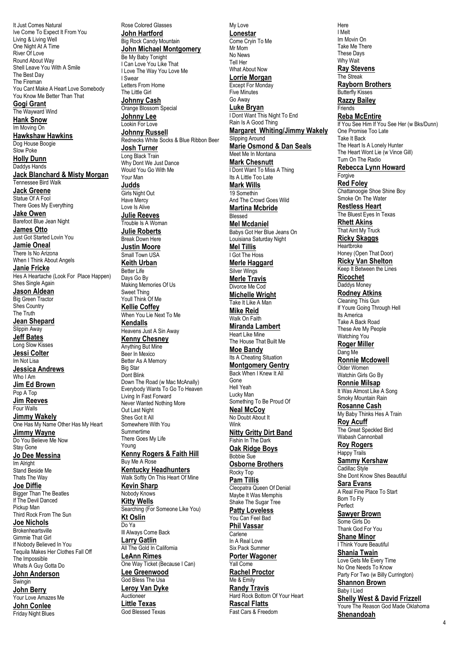It Just Comes Natural Ive Come To Expect It From You Living & Living Well One Night At A Time River Of Love Round About Way Shell Leave You With A Smile The Best Day The Fireman You Cant Make A Heart Love Somebody You Know Me Better Than That **Gogi Grant** The Wayward Wind **Hank Snow** Im Moving On **Hawkshaw Hawkins** Dog House Boogie Slow Poke **Holly Dunn** Daddys Hands **Jack Blanchard & Misty Morgan** Tennessee Bird Walk **Jack Greene**

Statue Of A Fool There Goes My Everything **Jake Owen**

Barefoot Blue Jean Night **James Otto** Just Got Started Lovin You

**Jamie Oneal** There Is No Arizona When I Think About Angels

**Janie Fricke** Hes A Heartache (Look For Place Happen) Shes Single Again

**Jason Aldean** Big Green Tractor Shes Country

The Truth **Jean Shepard** Slippin Away **Jeff Bates** Long Slow Kisses **Jessi Colter** Im Not Lisa **Jessica Andrews** Who I Am **Jim Ed Brown** Pop A Top **Jim Reeves**

Four Walls **Jimmy Wakely** One Has My Name Other Has My Heart **Jimmy Wayne** Do You Believe Me Now Stay Gone

**Jo Dee Messina** Im Alright Stand Beside Me Thats The Way

**Joe Diffie** Bigger Than The Beatles If The Devil Danced Pickup Man Third Rock From The Sun

**Joe Nichols** Brokenheartsville Gimmie That Girl If Nobody Believed In You Tequila Makes Her Clothes Fall Off The Impossible

Whats A Guy Gotta Do **John Anderson** Swingin **John Berry**

Your Love Amazes Me **John Conlee** Friday Night Blues

Rose Colored Glasses **John Hartford** Big Rock Candy Mountain **John Michael Montgomery** Be My Baby Tonight I Can Love You Like That I Love The Way You Love Me I Swear Letters From Home The Little Girl **Johnny Cash** Orange Blossom Special **Johnny Lee** Lookin For Love **Johnny Russell** Rednecks White Socks & Blue Ribbon Beer **Josh Turner** Long Black Train Why Dont We Just Dance Would You Go With Me Your Man **Judds Girls Night Out** Have Mercy Love Is Alive **Julie Reeves** Trouble Is A Woman **Julie Roberts** Break Down Here **Justin Moore** Small Town USA **Keith Urban** Better Life Days Go By Making Memories Of Us Sweet Thing Youll Think Of Me **Kellie Coffey** When You Lie Next To Me **Kendalls** Heavens Just A Sin Away **Kenny Chesney** Anything But Mine Beer In Mexico Better As A Memory Big Star Dont Blink Down The Road (w Mac McAnally) Everybody Wants To Go To Heaven Living In Fast Forward Never Wanted Nothing More Out Last Night Shes Got It All Somewhere With You Summertime There Goes My Life Young **Kenny Rogers & Faith Hill** Buy Me A Rose **Kentucky Headhunters** Walk Softly On This Heart Of Mine **Kevin Sharp** Nobody Knows **Kitty Wells** Searching (For Someone Like You) **Kt Oslin** Do Ya Ill Always Come Back **Larry Gatlin** All The Gold In California **LeAnn Rimes** One Way Ticket (Because I Can) **Lee Greenwood** God Bless The Usa **Leroy Van Dyke** Auctioneer **Little Texas** God Blessed Texas

My Love **Lonestar** Come Cryin To Me Mr Mom No News Tell Her What About Now **Lorrie Morgan** Except For Monday Five Minutes Go Away **Luke Bryan** I Dont Want This Night To End Rain Is A Good Thing **Margaret Whiting/Jimmy Wakely** Slipping Around **Marie Osmond & Dan Seals** Meet Me In Montana **Mark Chesnutt** I Dont Want To Miss A Thing Its A Little Too Late **Mark Wills** 19 Somethin And The Crowd Goes Wild **Martina Mcbride** Blessed **Mel Mcdaniel** Babys Got Her Blue Jeans On Louisiana Saturday Night **Mel Tillis** I Got The Hoss **Merle Haggard** Silver Wings **Merle Travis** Divorce Me Cod **Michelle Wright** Take It Like A Man **Mike Reid** Walk On Faith **Miranda Lambert** Heart Like Mine The House That Built Me **Moe Bandy** Its A Cheating Situation **Montgomery Gentry** Back When I Knew It All Gone Hell Yeah Lucky Man Something To Be Proud Of **Neal McCoy** No Doubt About It Wink **Nitty Gritty Dirt Band** Fishin In The Dark **Oak Ridge Boys** Bobbie Sue **Osborne Brothers** Rocky Top **Pam Tillis** Cleopatra Queen Of Denial Maybe It Was Memphis Shake The Sugar Tree **Patty Loveless** You Can Feel Bad **Phil Vassar Carlene** In A Real Love Six Pack Summer **Porter Wagoner** Yall Come **Rachel Proctor** Me & Emily **Randy Travis** Hard Rock Bottom Of Your Heart **Rascal Flatts** Fast Cars & Freedom

Here I Melt Im Movin On Take Me There These Days Why Wait **Ray Stevens** The Streak **Rayborn Brothers** Butterfly Kisses **Razzy Bailey Friends Reba McEntire** If You See Him If You See Her (w Bks/Dunn) One Promise Too Late Take It Back The Heart Is A Lonely Hunter The Heart Wont Lie (w Vince Gill) Turn On The Radio **Rebecca Lynn Howard** Forgive **Red Foley** Chattanoogie Shoe Shine Boy Smoke On The Water **Restless Heart** The Bluest Eyes In Texas **Rhett Akins** That Aint My Truck **Ricky Skaggs Heartbroke** Honey (Open That Door) **Ricky Van Shelton** Keep It Between the Lines **Ricochet** Daddys Money **Rodney Atkins** Cleaning This Gun If Youre Going Through Hell Its America Take A Back Road These Are My People Watching You **Roger Miller** Dang Me **Ronnie Mcdowell** Older Women Watchin Girls Go By **Ronnie Milsap** It Was Almost Like A Song Smoky Mountain Rain **Rosanne Cash** My Baby Thinks Hes A Train **Roy Acuff** The Great Speckled Bird Wabash Cannonball **Roy Rogers** Happy Trails **Sammy Kershaw** Cadillac Style She Dont Know Shes Beautiful **Sara Evans** A Real Fine Place To Start Born To Fly Perfect **Sawyer Brown** Some Girls Do Thank God For You **Shane Minor** I Think Youre Beautiful **Shania Twain** Love Gets Me Every Time No One Needs To Know Party For Two (w Billy Currington) **Shannon Brown** Baby I Lied **Shelly West & David Frizzell** Youre The Reason God Made Oklahoma **Shenandoah**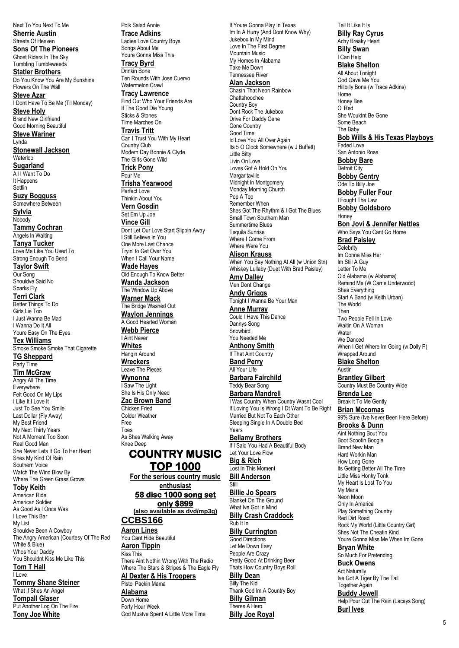Next To You Next To Me **Sherrie Austin** Streets Of Heaven **Sons Of The Pioneers** Ghost Riders In The Sky Tumbling Tumbleweeds

**Statler Brothers** Do You Know You Are My Sunshine Flowers On The Wall **Steve Azar**

I Dont Have To Be Me (Til Monday) **Steve Holy**

Brand New Girlfriend Good Morning Beautiful **Steve Wariner**

Lynda **Stonewall Jackson Waterloo** 

**Sugarland** All I Want To Do It Happens

**Settlin Suzy Bogguss**

Somewhere Between **Sylvia** Nobody **Tammy Cochran** Angels In Waiting **Tanya Tucker**

Love Me Like You Used To Strong Enough To Bend **Taylor Swift**

Our Song Shouldve Said No Sparks Fly **Terri Clark** Better Things To Do Girls Lie Too I Just Wanna Be Mad I Wanna Do It All

Youre Easy On The Eyes **Tex Williams** Smoke Smoke Smoke That Cigarette **TG Sheppard**

# Party Time

**Tim McGraw** Angry All The Time **Everywhere** Felt Good On My Lips I Like It I Love It Just To See You Smile Last Dollar (Fly Away) My Best Friend My Next Thirty Years Not A Moment Too Soon Real Good Man She Never Lets It Go To Her Heart Shes My Kind Of Rain Southern Voice Watch The Wind Blow By Where The Green Grass Grows

# **Toby Keith**

American Ride American Soldier As Good As I Once Was I Love This Bar My List Shouldve Been A Cowboy The Angry American (Courtesy Of The Red White & Blue) Whos Your Daddy You Shouldnt Kiss Me Like This **Tom T Hall** I Love

**Tommy Shane Steiner** What If Shes An Angel **Tompall Glaser** Put Another Log On The Fire **Tony Joe White**

Polk Salad Annie **Trace Adkins** Ladies Love Country Boys Songs About Me Youre Gonna Miss This **Tracy Byrd** Drinkin Bone Ten Rounds With Jose Cuervo Watermelon Crawl **Tracy Lawrence** Find Out Who Your Friends Are If The Good Die Young Sticks & Stones Time Marches On **Travis Tritt** Can I Trust You With My Heart Country Club Modern Day Bonnie & Clyde The Girls Gone Wild **Trick Pony** Pour Me **Trisha Yearwood** Perfect Love Thinkin About You **Vern Gosdin** Set Em Up Joe **Vince Gill** Dont Let Our Love Start Slippin Away I Still Believe in You One More Last Chance Tryin' to Get Over You When I Call Your Name **Wade Hayes** Old Enough To Know Better **Wanda Jackson** The Window Up Above **Warner Mack** The Bridge Washed Out **Waylon Jennings** A Good Hearted Woman **Webb Pierce** I Aint Never **Whites** Hangin Around **Wreckers** Leave The Pieces **Wynonna** I Saw The Light She Is His Only Need **Zac Brown Band** Chicken Fried Colder Weather Free Toes As Shes Walking Away Knee Deep **COUNTRY MUSIC TOP 1000 For the serious country music enthusiast 58 disc 1000 song set** 

**only \$899 (also available as dvd/mp3g) CCBS166 Aaron Lines** You Cant Hide Beautiful **Aaron Tippin**

Kiss This There Aint Nothin Wrong With The Radio Where The Stars & Stripes & The Eagle Fly **Al Dexter & His Troopers**

Pistol Packin Mama **Alabama** Down Home Forty Hour Week God Mustve Spent A Little More Time

If Youre Gonna Play In Texas Im In A Hurry (And Dont Know Why) Jukebox In My Mind Love In The First Degree Mountain Music My Homes In Alabama Take Me Down Tennessee River **Alan Jackson** Chasin That Neon Rainbow Chattahoochee Country Boy

Dont Rock The Jukebox Drive For Daddy Gene Gone Country Good Time Id Love You All Over Again Its 5 O Clock Somewhere (w J Buffett) Little Bitty Livin On Love Loves Got A Hold On You Margaritaville Midnight In Montgomery Monday Morning Church Pop A Top Remember When Shes Got The Rhythm & I Got The Blues Small Town Southern Man Summertime Blues Tequila Sunrise Where I Come From Where Were You

# **Alison Krauss**

When You Say Nothing At All (w Union Stn) Whiskey Lullaby (Duet With Brad Paisley)

**Amy Dalley**

Men Dont Change **Andy Griggs** Tonight I Wanna Be Your Man **Anne Murray** Could I Have This Dance Dannys Song Snowbird You Needed Me

#### **Anthony Smith** If That Aint Country

**Band Perry** All Your Life

**Barbara Fairchild** Teddy Bear Song **Barbara Mandrell**

I Was Country When Country Wasnt Cool If Loving You Is Wrong I Dt Want To Be Right Married But Not To Each Other Sleeping Single In A Double Bed Years

**Bellamy Brothers** If I Said You Had A Beautiful Body Let Your Love Flow **Big & Rich** Lost In This Moment **Bill Anderson**

#### Still **Billie Jo Spears**

Blanket On The Ground What Ive Got In Mind **Billy Crash Craddock** Rub It In

**Billy Currington** Good Directions Let Me Down Easy People Are Crazy Pretty Good At Drinking Beer Thats How Country Boys Roll

**Billy Dean** Billy The Kid Thank God Im A Country Boy **Billy Gilman** Theres A Hero **Billy Joe Royal**

Tell It Like It Is **Billy Ray Cyrus** Achy Breaky Heart **Billy Swan** I Can Help **Blake Shelton** All About Tonight God Gave Me You Hillbilly Bone (w Trace Adkins) Home Honey Bee Ol Red She Wouldnt Be Gone Some Beach The Baby **Bob Wills & His Texas Playboys** Faded Love San Antonio Rose **Bobby Bare** Detroit City **Bobby Gentry** Ode To Billy Joe **Bobby Fuller Four** I Fought The Law **Bobby Goldsboro Honey Bon Jovi & Jennifer Nettles** Who Says You Cant Go Home **Brad Paisley Celebrity** Im Gonna Miss Her Im Still A Guy Letter To Me Old Alabama (w Alabama) Remind Me (W Carrie Underwood) Shes Everything Start A Band (w Keith Urban) The World Then Two People Fell In Love Waitin On A Woman **Water** We Danced When I Get Where Im Going (w Dolly P) Wrapped Around **Blake Shelton** Austin **Brantley Gilbert** Country Must Be Country Wide **Brenda Lee** Break It To Me Gently **Brian Mccomas** 99% Sure (Ive Never Been Here Before) **Brooks & Dunn** Aint Nothing Bout You Boot Scootin Boogie Brand New Man Hard Workin Man How Long Gone Its Getting Better All The Time Little Miss Honky Tonk

My Heart Is Lost To You My Maria Neon Moon Only In America Play Something Country Red Dirt Road Rock My World (Little Country Girl) Shes Not The Cheatin Kind Youre Gonna Miss Me When Im Gone

**Bryan White** So Much For Pretending **Buck Owens Act Naturally** 

Ive Got A Tiger By The Tail Together Again **Buddy Jewell** Help Pour Out The Rain (Laceys Song) **Burl Ives**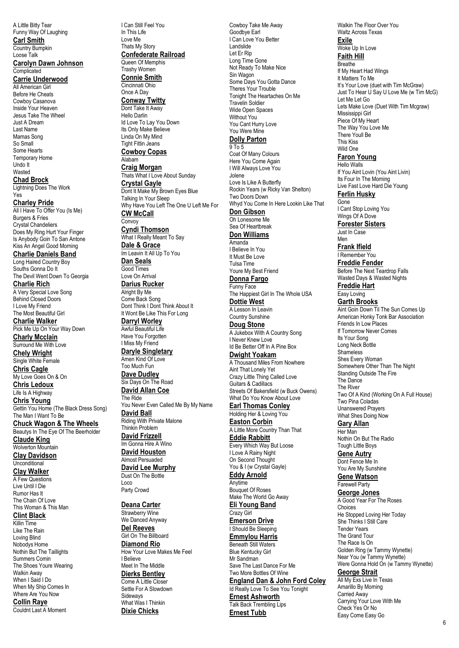A Little Bitty Tear Funny Way Of Laughing **Carl Smith** Country Bumpkin **Carolyn Dawn Johnson Complicated Carrie Underwood** All American Girl Before He Cheats Cowboy Casanova Inside Your Heaven Jesus Take The Wheel Just A Dream Mamas Song Some Hearts Temporary Home **Chad Brock** Lightning Does The Work **Charley Pride** All I Have To Offer You (Is Me) Burgers & Fries Crystal Chandeliers Does My Ring Hurt Your Finger Is Anybody Goin To San Antone Kiss An Angel Good Morning **Charlie Daniels Band** Long Haired Country Boy Souths Gonna Do It The Devil Went Down To Georgia **Charlie Rich** A Very Special Love Song Behind Closed Doors I Love My Friend The Most Beautiful Girl **Charlie Walker** Pick Me Up On Your Way Down **Charly Mcclain** Surround Me With Love **Chely Wright** Single White Female **Chris Cagle** My Love Goes On & On **Chris Ledoux** Life Is A Highway **Chris Young** Gettin You Home (The Black Dress Song) The Man I Want To Be **Chuck Wagon & The Wheels** Beautys In The Eye Of The Beerholder **Claude King** Wolverton Mountain **Clay Davidson Unconditional Clay Walker** A Few Questions Live Until I Die Rumor Has It The Chain Of Love This Woman & This Man **Clint Black** Like The Rain Loving Blind Nobodys Home Nothin But The Taillights Summers Comin The Shoes Youre Wearing Walkin Away When I Said I Do When My Ship Comes In Where Are You Now Love Me Alabam Convoy The Ride Loco I Believe **Dierks Bentley** Come A Little Closer Settle For A Slowdown Sideways

Loose Talk

Last Name

So Small

Undo It **Wasted** 

Yes

**Collin Raye** Couldnt Last A Moment

Killin Time

I Can Still Feel You In This Life Thats My Story **Confederate Railroad** Queen Of Memphis Trashy Women **Connie Smith** Cincinnati Ohio Once A Day **Conway Twitty** Dont Take It Away Hello Darlin Id Love To Lay You Down Its Only Make Believe Linda On My Mind Tight Fittin Jeans **Cowboy Copas Craig Morgan** Thats What I Love About Sunday **Crystal Gayle** Dont It Make My Brown Eyes Blue Talking In Your Sleep Why Have You Left The One U Left Me For **CW McCall Cyndi Thomson** What I Really Meant To Say **Dale & Grace** Im Leavin It All Up To You **Dan Seals** Good Times Love On Arrival **Darius Rucker** Alright By Me Come Back Song Dont Think I Dont Think About It It Wont Be Like This For Long **Darryl Worley** Awful Beautiful Life Have You Forgotten I Miss My Friend **Daryle Singletary** Amen Kind Of Love Too Much Fun **Dave Dudley** Six Days On The Road **David Allan Coe** You Never Even Called Me By My Name **David Ball** Riding With Private Malone Thinkin Problem **David Frizzell** Im Gonna Hire A Wino **David Houston** Almost Persuaded **David Lee Murphy** Dust On The Bottle Party Crowd **Deana Carter** Strawberry Wine We Danced Anyway **Del Reeves** Girl On The Billboard **Diamond Rio** How Your Love Makes Me Feel Meet In The Middle

What Was I Thinkin **Dixie Chicks**

Sin Wagon Some Days You Gotta Dance Theres Your Trouble Tonight The Heartaches On Me Travelin Soldier Wide Open Spaces Without You You Cant Hurry Love You Were Mine **Dolly Parton** 9 To 5 Coat Of Many Colours Here You Come Again I Will Always Love You Jolene Love Is Like A Butterfly Rockin Years (w Ricky Van Shelton) Two Doors Down Whyd You Come In Here Lookin Like That **Don Gibson** Oh Lonesome Me Sea Of Heartbreak **Don Williams** Amanda I Believe In You It Must Be Love Tulsa Time Youre My Best Friend **Donna Fargo** Funny Face The Happiest Girl In The Whole USA **Dottie West** A Lesson In Leavin Country Sunshine **Doug Stone** A Jukebox With A Country Song I Never Knew Love Id Be Better Off In A Pine Box **Dwight Yoakam** A Thousand Miles From Nowhere Aint That Lonely Yet Crazy Little Thing Called Love Guitars & Cadillacs Streets Of Bakersfield (w Buck Owens) What Do You Know About Love **Earl Thomas Conley** Holding Her & Loving You **Easton Corbin** A Little More Country Than That **Eddie Rabbitt** Every Which Way But Loose I Love A Rainy Night On Second Thought You & I (w Crystal Gayle) **Eddy Arnold** Anytime Bouquet Of Roses Make The World Go Away **Eli Young Band** Crazy Girl **Emerson Drive** I Should Be Sleeping **Emmylou Harris** Beneath Still Waters Blue Kentucky Girl Mr Sandman Save The Last Dance For Me Two More Bottles Of Wine **England Dan & John Ford Coley** Id Really Love To See You Tonight **Ernest Ashworth** Talk Back Trembling Lips **Ernest Tubb**

Cowboy Take Me Away Goodbye Earl I Can Love You Better

Landslide Let Er Rip Long Time Gone Not Ready To Make Nice Walkin The Floor Over You Waltz Across Texas **Exile** Woke Up In Love **Faith Hill** Breathe If My Heart Had Wings It Matters To Me It's Your Love (duet with Tim McGraw) Just To Hear U Say U Love Me (w Tim McG) Let Me Let Go Lets Make Love (Duet With Tim Mcgraw) Mississippi Girl Piece Of My Heart The Way You Love Me There Youll Be This Kiss Wild One **Faron Young** Hello Walls If You Aint Lovin (You Aint Livin) Its Four In The Morning Live Fast Love Hard Die Young **Ferlin Husky** Gone I Cant Stop Loving You Wings Of A Dove **Forester Sisters** Just In Case Men **Frank Ifield** I Remember You **Freddie Fender** Before The Next Teardrop Falls Wasted Days & Wasted Nights **Freddie Hart** Easy Loving **Garth Brooks** Aint Goin Down Til The Sun Comes Up American Honky Tonk Bar Association Friends In Low Places If Tomorrow Never Comes Its Your Song Long Neck Bottle Shameless Shes Every Woman Somewhere Other Than The Night Standing Outside The Fire The Dance The River Two Of A Kind (Working On A Full House) Two Pina Coladas Unanswered Prayers What Shes Doing Now **Gary Allan** Her Man Nothin On But The Radio Tough Little Boys **Gene Autry** Dont Fence Me In

You Are My Sunshine **Gene Watson** Farewell Party

**George Jones** A Good Year For The Roses Choices He Stopped Loving Her Today She Thinks I Still Care Tender Years The Grand Tour The Race Is On Golden Ring (w Tammy Wynette) Near You (w Tammy Wynette) Were Gonna Hold On (w Tammy Wynette) **George Strait**

All My Exs Live In Texas Amarillo By Morning Carried Away Carrying Your Love With Me Check Yes Or No Easy Come Easy Go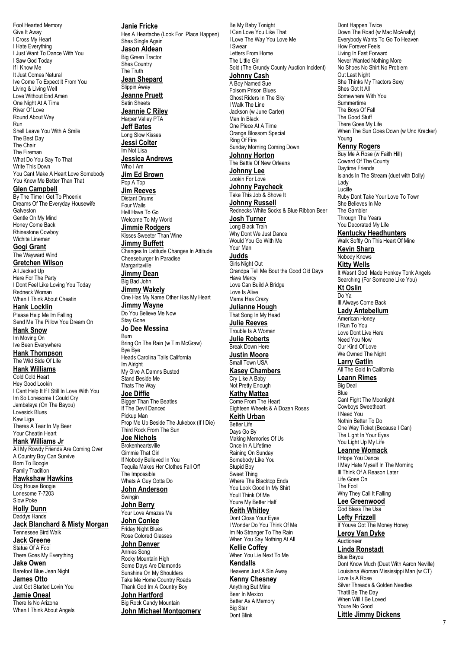Fool Hearted Memory Give It Away I Cross My Heart I Hate Everything I Just Want To Dance With You I Saw God Today If I Know Me It Just Comes Natural Ive Come To Expect It From You Living & Living Well Love Without End Amen One Night At A Time River Of Love Round About Way Run Shell Leave You With A Smile The Best Day The Chair The Fireman What Do You Say To That Write This Down You Cant Make A Heart Love Somebody You Know Me Better Than That **Glen Campbell** By The Time I Get To Phoenix

Dreams Of The Everyday Housewife Galveston Gentle On My Mind Honey Come Back Rhinestone Cowboy Wichita Lineman

**Gogi Grant** The Wayward Wind **Gretchen Wilson** All Jacked Up Here For The Party I Dont Feel Like Loving You Today

Redneck Woman When I Think About Cheatin **Hank Locklin**

Please Help Me Im Falling Send Me The Pillow You Dream On

**Hank Snow** Im Moving On Ive Been Everywhere **Hank Thompson** The Wild Side Of Life

**Hank Williams** Cold Cold Heart Hey Good Lookin I Cant Help It If I Still In Love With You Im So Lonesome I Could Cry Jambalaya (On The Bayou) Lovesick Blues Kaw Liga Theres A Tear In My Beer Your Cheatin Heart

**Hank Williams Jr** All My Rowdy Friends Are Coming Over A Country Boy Can Survive Born To Boogie Family Tradition

**Hawkshaw Hawkins** Dog House Boogie

Lonesome 7-7203 Slow Poke

**Holly Dunn** Daddys Hands **Jack Blanchard & Misty Morgan** Tennessee Bird Walk

**Jack Greene**

Statue Of A Fool There Goes My Everything **Jake Owen**

Barefoot Blue Jean Night **James Otto**

Just Got Started Lovin You **Jamie Oneal**

There Is No Arizona When I Think About Angels **Janie Fricke** Hes A Heartache (Look For Place Happen) Shes Single Again **Jason Aldean** Big Green Tractor Shes Country The Truth **Jean Shepard** Slippin Away **Jeanne Pruett** Satin Sheets **Jeannie C Riley** Harper Valley PTA **Jeff Bates** Long Slow Kisses **Jessi Colter** Im Not Lisa **Jessica Andrews** Who I Am **Jim Ed Brown** Pop A Top **Jim Reeves** Distant Drums Four Walls Hell Have To Go Welcome To My World **Jimmie Rodgers** Kisses Sweeter Than Wine **Jimmy Buffett** Changes In Latitude Changes In Attitude Cheeseburger In Paradise **Margaritaville Jimmy Dean** Big Bad John **Jimmy Wakely** One Has My Name Other Has My Heart **Jimmy Wayne** Do You Believe Me Now Stay Gone **Jo Dee Messina** Burn Bring On The Rain (w Tim McGraw) Bye Bye Heads Carolina Tails California Im Alright My Give A Damns Busted Stand Beside Me Thats The Way **Joe Diffie Bigger Than The Beatles** If The Devil Danced Pickup Man Prop Me Up Beside The Jukebox (If I Die) Third Rock From The Sun **Joe Nichols Brokenheartsville** Gimmie That Girl If Nobody Believed In You Tequila Makes Her Clothes Fall Off The Impossible Whats A Guy Gotta Do **John Anderson** Swingin **John Berry** Your Love Amazes Me **John Conlee** Friday Night Blues Rose Colored Glasses **John Denver** Annies Song Rocky Mountain High Some Days Are Diamonds Sunshine On My Shoulders Take Me Home Country Roads Thank God Im A Country Boy **John Hartford** Big Rock Candy Mountain

**John Michael Montgomery**

Be My Baby Tonight I Can Love You Like That I Love The Way You Love Me I Swear Letters From Home The Little Girl Sold (The Grundy County Auction Incident) **Johnny Cash** A Boy Named Sue Folsom Prison Blues Ghost Riders In The Sky I Walk The Line Jackson (w June Carter) Man In Black One Piece At A Time Orange Blossom Special Ring Of Fire Sunday Morning Coming Down **Johnny Horton** The Battle Of New Orleans **Johnny Lee** Lookin For Love **Johnny Paycheck** Take This Job & Shove It **Johnny Russell** Rednecks White Socks & Blue Ribbon Beer **Josh Turner** Long Black Train Why Dont We Just Dance Would You Go With Me Your Man **Judds** Girls Night Out Grandpa Tell Me Bout the Good Old Days Have Mercy Love Can Build A Bridge Love Is Alive Mama Hes Crazy **Julianne Hough** That Song In My Head **Julie Reeves** Trouble Is A Woman **Julie Roberts** Break Down Here **Justin Moore** Small Town USA **Kasey Chambers** Cry Like A Baby Not Pretty Enough **Kathy Mattea** Come From The Heart Eighteen Wheels & A Dozen Roses **Keith Urban** Better Life Days Go By Making Memories Of Us Once In A Lifetime Raining On Sunday Somebody Like You Stupid Boy Sweet Thing Where The Blacktop Ends You Look Good In My Shirt Youll Think Of Me Youre My Better Half **Keith Whitley** Dont Close Your Eyes I Wonder Do You Think Of Me Im No Stranger To The Rain When You Say Nothing At All **Kellie Coffey** When You Lie Next To Me **Kendalls** Heavens Just A Sin Away **Kenny Chesney** Anything But Mine Beer In Mexico Better As A Memory Big Star Dont Blink

Dont Happen Twice Down The Road (w Mac McAnally) Everybody Wants To Go To Heaven How Forever Feels Living In Fast Forward Never Wanted Nothing More No Shoes No Shirt No Problem Out Last Night She Thinks My Tractors Sexy Shes Got It All Somewhere With You Summertime The Boys Of Fall The Good Stuff There Goes My Life When The Sun Goes Down (w Unc Kracker) Young **Kenny Rogers** Buy Me A Rose (w Faith Hill) Coward Of The County Daytime Friends Islands In The Stream (duet with Dolly) Lady Lucille Ruby Dont Take Your Love To Town She Believes In Me The Gambler Through The Years You Decorated My Life **Kentucky Headhunters** Walk Softly On This Heart Of Mine **Kevin Sharp** Nobody Knows **Kitty Wells** It Wasnt God Made Honkey Tonk Angels Searching (For Someone Like You) **Kt Oslin** Do Ya Ill Always Come Back **Lady Antebellum** American Honey I Run To You Love Dont Live Here Need You Now Our Kind Of Love We Owned The Night **Larry Gatlin** All The Gold In California **Leann Rimes** Big Deal Blue Cant Fight The Moonlight Cowboys Sweetheart I Need You Nothin Better To Do One Way Ticket (Because I Can) The Light In Your Eyes You Light Up My Life **Leanne Womack** I Hope You Dance I May Hate Myself In The Morning Ill Think Of A Reason Later Life Goes On The Fool Why They Call It Falling

**Lee Greenwood** God Bless The Usa

**Lefty Frizzell** If Youve Got The Money Honey **Leroy Van Dyke**

Auctioneer

**Linda Ronstadt**

Blue Bayou Dont Know Much (Duet With Aaron Neville) Louisiana Woman Mississippi Man (w CT) Love Is A Rose Silver Threads & Golden Needles Thatll Be The Day When Will I Be Loved Youre No Good **Little Jimmy Dickens**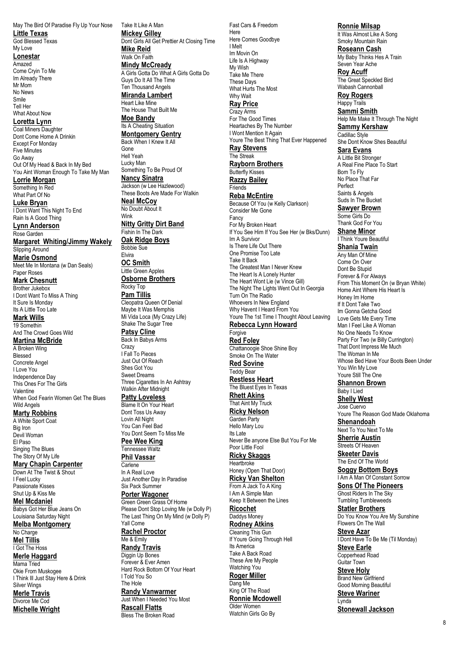May The Bird Of Paradise Fly Up Your Nose **Little Texas**

God Blessed Texas My Love

**Lonestar**

Amazed Come Cryin To Me Im Already There Mr Mom No News Smile Tell Her What About Now

**Loretta Lynn**

Coal Miners Daughter Dont Come Home A Drinkin Except For Monday Five Minutes Go Away Out Of My Head & Back In My Bed You Aint Woman Enough To Take My Man

**Lorrie Morgan** Something In Red What Part Of No

**Luke Bryan** I Dont Want This Night To End Rain Is A Good Thing

**Lynn Anderson** Rose Garden **Margaret Whiting/Jimmy Wakely** Slipping Around **Marie Osmond** Meet Me In Montana (w Dan Seals) Paper Roses

**Mark Chesnutt** Brother Jukebox I Dont Want To Miss A Thing It Sure Is Monday Its A Little Too Late

**Mark Wills** 19 Somethin And The Crowd Goes Wild

**Martina McBride** A Broken Wing Blessed Concrete Angel I Love You Independence Day This Ones For The Girls Valentine When God Fearin Women Get The Blues Wild Angels **Marty Robbins** A White Sport Coat

Big Iron Devil Woman El Paso Singing The Blues The Story Of My Life

**Mary Chapin Carpenter** Down At The Twist & Shout I Feel Lucky Passionate Kisses Shut Up & Kiss Me

**Mel Mcdaniel** Babys Got Her Blue Jeans On Louisiana Saturday Night

**Melba Montgomery** No Charge **Mel Tillis**

I Got The Hoss

**Merle Haggard** Mama Tried Okie From Muskogee

I Think Ill Just Stay Here & Drink Silver Wings **Merle Travis** Divorce Me Cod

**Michelle Wright**

Take It Like A Man **Mickey Gilley** Dont Girls All Get Prettier At Closing Time **Mike Reid** Walk On Faith **Mindy McCready** A Girls Gotta Do What A Girls Gotta Do Guys Do It All The Time Ten Thousand Angels **Miranda Lambert** Heart Like Mine The House That Built Me **Moe Bandy** Its A Cheating Situation **Montgomery Gentry** Back When I Knew It All Gone Hell Yeah Lucky Man Something To Be Proud Of **Nancy Sinatra** Jackson (w Lee Hazlewood) These Boots Are Made For Walkin **Neal McCoy** No Doubt About It Wink **Nitty Gritty Dirt Band** Fishin In The Dark **Oak Ridge Boys** Bobbie Sue Elvira **OC Smith** Little Green Apples **Osborne Brothers** Rocky Top **Pam Tillis** Cleopatra Queen Of Denial Maybe It Was Memphis Mi Vida Loca (My Crazy Life) Shake The Sugar Tree **Patsy Cline** Back In Babys Arms **Crazy** I Fall To Pieces Just Out Of Reach Shes Got You Sweet Dreams Three Cigarettes In An Ashtray Walkin After Midnight **Patty Loveless** Blame It On Your Heart Dont Toss Us Away Lovin All Night You Can Feel Bad You Dont Seem To Miss Me **Pee Wee King** Tennessee Waltz **Phil Vassar Carlene** In A Real Love Just Another Day In Paradise Six Pack Summer **Porter Wagoner** Green Green Grass Of Home Please Dont Stop Loving Me (w Dolly P) The Last Thing On My Mind (w Dolly P)

Yall Come **Rachel Proctor** Me & Emily

**Randy Travis** Diggin Up Bones Forever & Ever Amen Hard Rock Bottom Of Your Heart I Told You So The Hole

**Randy Vanwarmer** Just When I Needed You Most **Rascall Flatts** Bless The Broken Road

Fast Cars & Freedom Here Here Comes Goodbve I Melt Im Movin On Life Is A Highway My Wish Take Me There These Days What Hurts The Most Why Wait **Ray Price** Crazy Arms For The Good Times Heartaches By The Number I Wont Mention It Again Youre The Best Thing That Ever Happened **Ray Stevens** The Streak **Rayborn Brothers** Butterfly Kisses **Razzy Bailey** Friends **Reba McEntire** Because Of You (w Kelly Clarkson) Consider Me Gone Fancy For My Broken Heart If You See Him If You See Her (w Bks/Dunn) Im A Survivor Is There Life Out There One Promise Too Late Take It Back The Greatest Man I Never Knew The Heart Is A Lonely Hunter The Heart Wont Lie (w Vince Gill) The Night The Lights Went Out In Georgia Turn On The Radio Whoevers In New England Why Havent I Heard From You Youre The 1st Time I Thought About Leaving **Rebecca Lynn Howard** Forgive **Red Foley** Chattanoogie Shoe Shine Boy Smoke On The Water **Red Sovine** Teddy Bear **Restless Heart** The Bluest Eyes In Texas **Rhett Akins** That Aint My Truck **Ricky Nelson** Garden Party Hello Mary Lou Its Late Never Be anyone Else But You For Me Poor Little Fool **Ricky Skaggs** Heartbroke Honey (Open That Door) **Ricky Van Shelton** From A Jack To A King I Am A Simple Man Keep It Between the Lines **Ricochet** Daddys Money **Rodney Atkins** Cleaning This Gun If Youre Going Through Hell Its America Take A Back Road These Are My People Watching You **Roger Miller** Dang Me King Of The Road **Ronnie Mcdowell** Older Women Watchin Girls Go By

**Ronnie Milsap** It Was Almost Like A Song Smoky Mountain Rain

**Roseann Cash** My Baby Thinks Hes A Train Seven Year Ache

**Roy Acuff** The Great Speckled Bird Wabash Cannonball

**Roy Rogers** Happy Trails

**Sammi Smith** Help Me Make It Through The Night **Sammy Kershaw** Cadillac Style

She Dont Know Shes Beautiful **Sara Evans**

A Little Bit Stronger A Real Fine Place To Start Born To Fly No Place That Far Perfect Saints & Angels

Suds In The Bucket **Sawyer Brown** Some Girls Do

Thank God For You **Shane Minor**

I Think Youre Beautiful **Shania Twain** Any Man Of Mine

Come On Over Dont Be Stupid Forever & For Always From This Moment On (w Bryan White) Home Aint Where His Heart Is Honey Im Home If It Dont Take Two Im Gonna Getcha Good Love Gets Me Every Time Man I Feel Like A Woman No One Needs To Know Party For Two (w Billy Currington) That Dont Impress Me Much The Woman In Me Whose Bed Have Your Boots Been Under You Win My Love Youre Still The One

**Shannon Brown** Baby I Lied

**Shelly West** Jose Cuervo Youre The Reason God Made Oklahoma **Shenandoah** Next To You Next To Me

**Sherrie Austin** Streets Of Heaven

**Skeeter Davis** The End Of The World **Soggy Bottom Boys** I Am A Man Of Constant Sorrow

**Sons Of The Pioneers** Ghost Riders In The Sky Tumbling Tumbleweeds

**Statler Brothers** Do You Know You Are My Sunshine Flowers On The Wall

**Steve Azar** I Dont Have To Be Me (Til Monday) **Steve Earle**

Copperhead Road Guitar Town **Steve Holy**

Brand New Girlfriend Good Morning Beautiful **Steve Wariner**

Lynda **Stonewall Jackson**